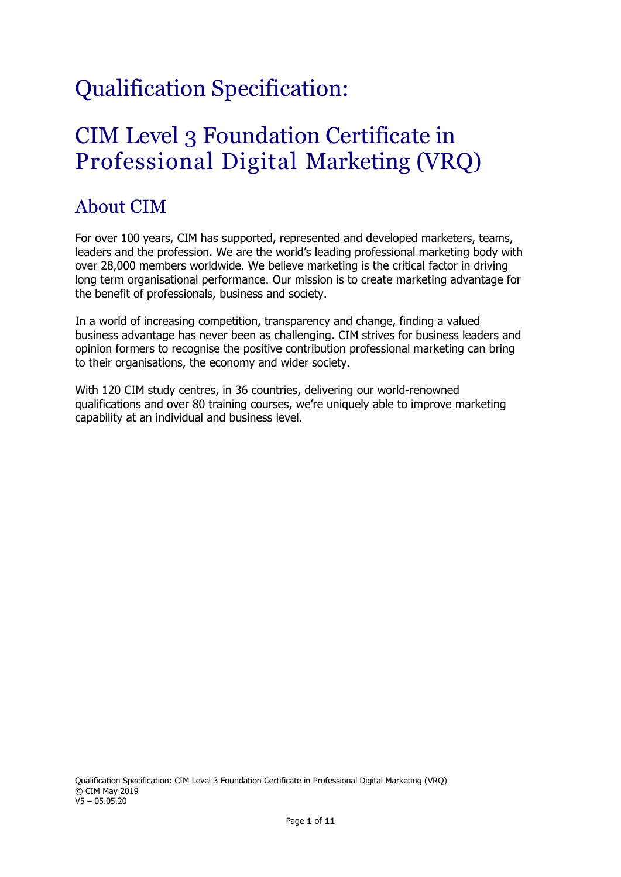# Qualification Specification:

## CIM Level 3 Foundation Certificate in Professional Digital Marketing (VRQ)

## About CIM

For over 100 years, CIM has supported, represented and developed marketers, teams, leaders and the profession. We are the world's leading professional marketing body with over 28,000 members worldwide. We believe marketing is the critical factor in driving long term organisational performance. Our mission is to create marketing advantage for the benefit of professionals, business and society.

In a world of increasing competition, transparency and change, finding a valued business advantage has never been as challenging. CIM strives for business leaders and opinion formers to recognise the positive contribution professional marketing can bring to their organisations, the economy and wider society.

With 120 CIM study centres, in 36 countries, delivering our world-renowned qualifications and over 80 training courses, we're uniquely able to improve marketing capability at an individual and business level.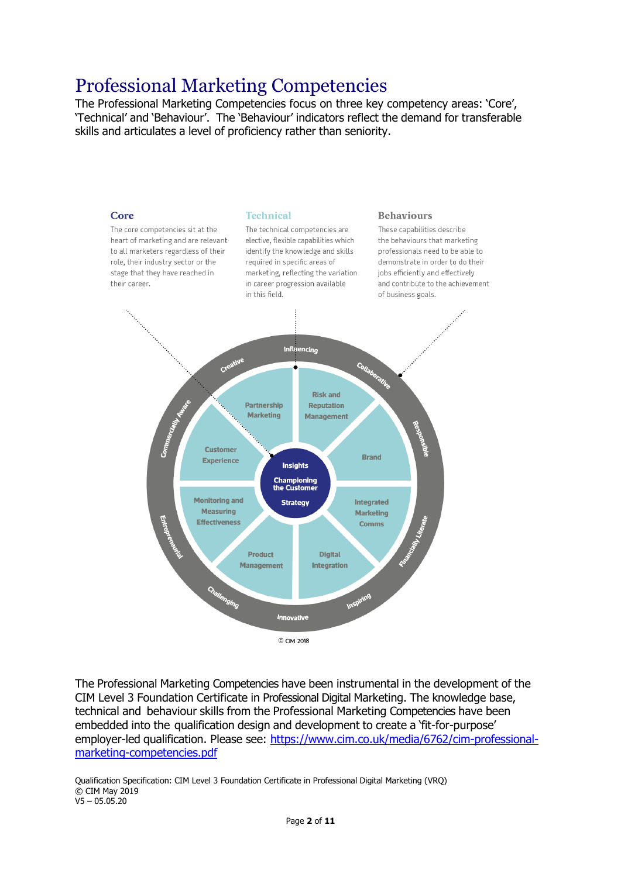## Professional Marketing Competencies

The Professional Marketing Competencies focus on three key competency areas: 'Core', 'Technical' and 'Behaviour'. The 'Behaviour' indicators reflect the demand for transferable skills and articulates a level of proficiency rather than seniority.



The Professional Marketing Competencies have been instrumental in the development of the CIM Level 3 Foundation Certificate in Professional Digital Marketing. The knowledge base, technical and behaviour skills from the Professional Marketing Competencies have been embedded into the qualification design and development to create a 'fit-for-purpose' employer-led qualification. Please see: [https://www.cim.co.uk/media/6762/cim-professional](https://www.cim.co.uk/media/6762/cim-professional-marketing-competencies.pdf)[marketing-competencies.pdf](https://www.cim.co.uk/media/6762/cim-professional-marketing-competencies.pdf)

Qualification Specification: CIM Level 3 Foundation Certificate in Professional Digital Marketing (VRQ) © CIM May 2019 V5 – 05.05.20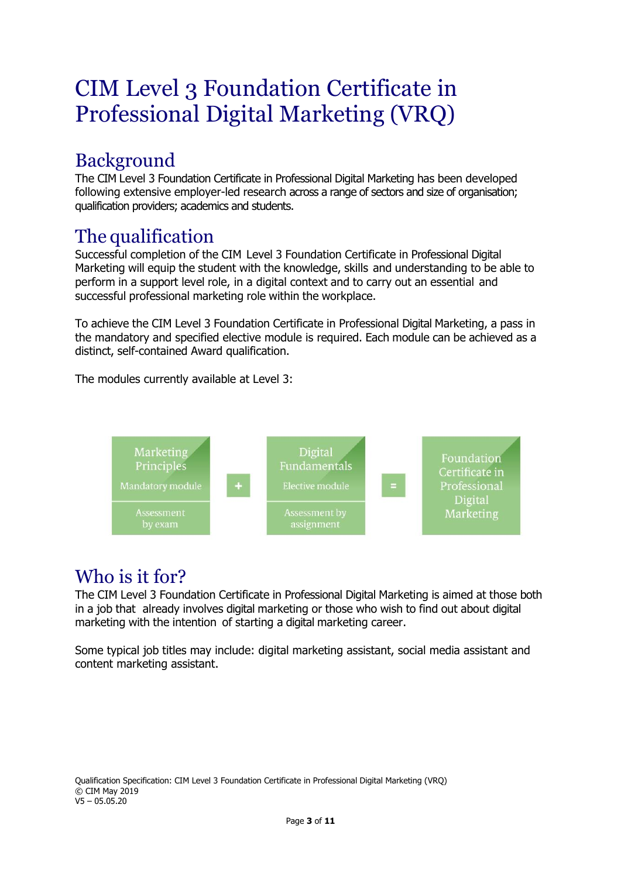# CIM Level 3 Foundation Certificate in Professional Digital Marketing (VRQ)

## Background

The CIM Level 3 Foundation Certificate in Professional Digital Marketing has been developed following extensive employer-led research across a range of sectors and size of organisation; qualification providers; academics and students.

## The qualification

Successful completion of the CIM Level 3 Foundation Certificate in Professional Digital Marketing will equip the student with the knowledge, skills and understanding to be able to perform in a support level role, in a digital context and to carry out an essential and successful professional marketing role within the workplace.

To achieve the CIM Level 3 Foundation Certificate in Professional Digital Marketing, a pass in the mandatory and specified elective module is required. Each module can be achieved as a distinct, self-contained Award qualification.

The modules currently available at Level 3:



## Who is it for?

The CIM Level 3 Foundation Certificate in Professional Digital Marketing is aimed at those both in a job that already involves digital marketing or those who wish to find out about digital marketing with the intention of starting a digital marketing career.

Some typical job titles may include: digital marketing assistant, social media assistant and content marketing assistant.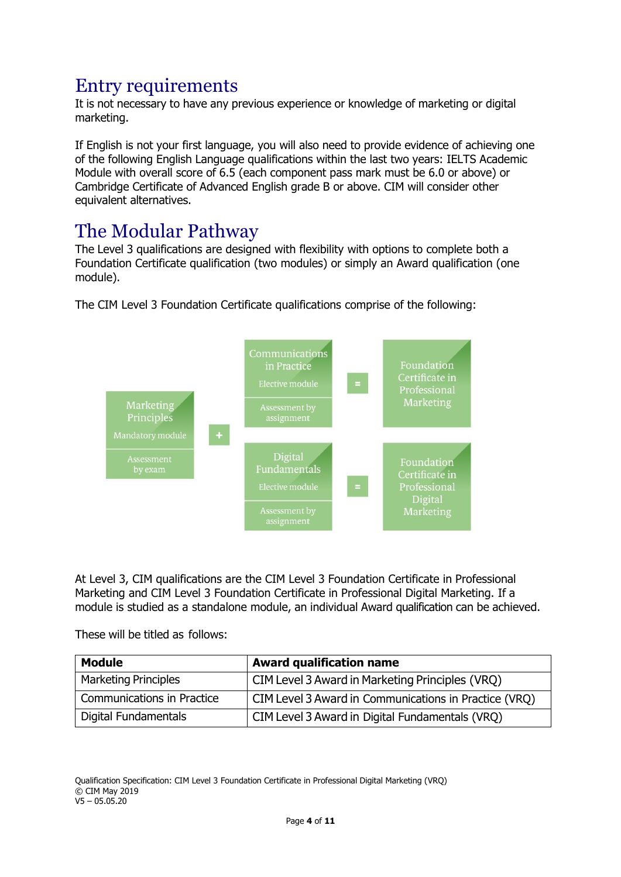## Entry requirements

It is not necessary to have any previous experience or knowledge of marketing or digital marketing.

If English is not your first language, you will also need to provide evidence of achieving one of the following English Language qualifications within the last two years: IELTS Academic Module with overall score of 6.5 (each component pass mark must be 6.0 or above) or Cambridge Certificate of Advanced English grade B or above. CIM will consider other equivalent alternatives.

## The Modular Pathway

The Level 3 qualifications are designed with flexibility with options to complete both a Foundation Certificate qualification (two modules) or simply an Award qualification (one module).



The CIM Level 3 Foundation Certificate qualifications comprise of the following:

At Level 3, CIM qualifications are the CIM Level 3 Foundation Certificate in Professional Marketing and CIM Level 3 Foundation Certificate in Professional Digital Marketing. If a module is studied as a standalone module, an individual Award qualification can be achieved.

These will be titled as follows:

| <b>Module</b>               | <b>Award qualification name</b>                       |
|-----------------------------|-------------------------------------------------------|
| <b>Marketing Principles</b> | CIM Level 3 Award in Marketing Principles (VRQ)       |
| Communications in Practice  | CIM Level 3 Award in Communications in Practice (VRQ) |
| Digital Fundamentals        | CIM Level 3 Award in Digital Fundamentals (VRQ)       |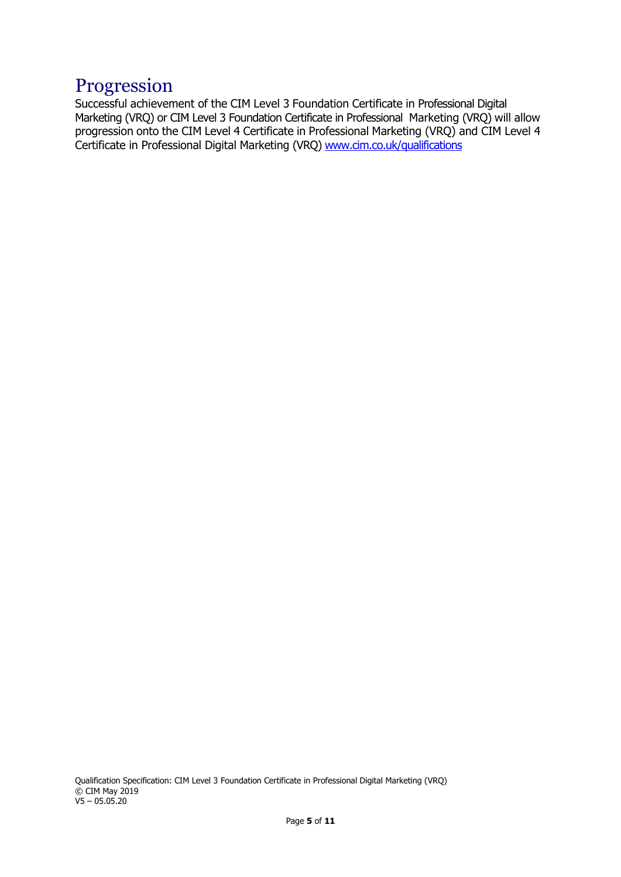#### Progression

Successful achievement of the CIM Level 3 Foundation Certificate in Professional Digital Marketing (VRQ) or CIM Level 3 Foundation Certificate in Professional Marketing (VRQ) will allow progression onto the CIM Level 4 Certificate in Professional Marketing (VRQ) and CIM Level 4 Certificate in Professional Digital Marketing (VRQ) [www.cim.co.uk/qualifications](http://www.cim.co.uk/qualifications)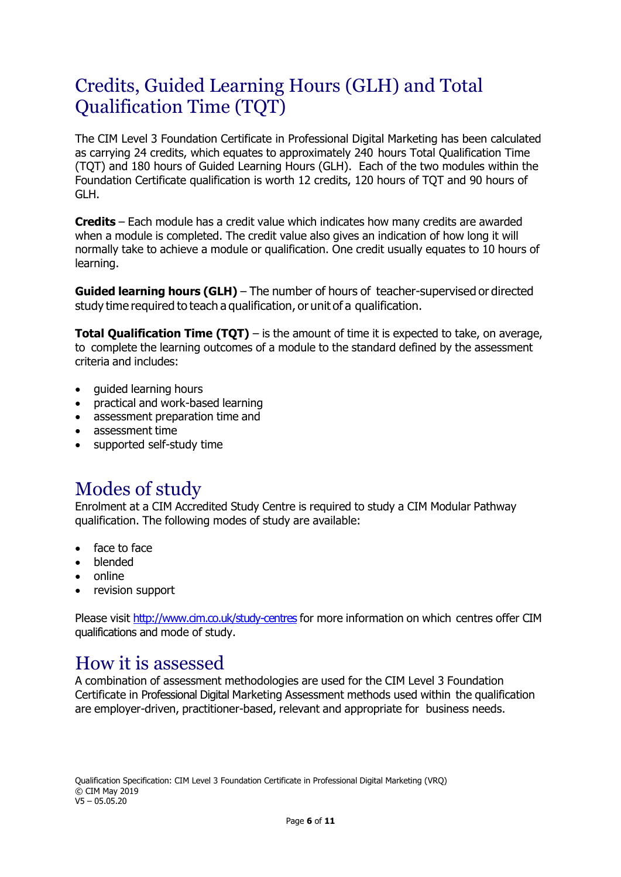## Credits, Guided Learning Hours (GLH) and Total Qualification Time (TQT)

The CIM Level 3 Foundation Certificate in Professional Digital Marketing has been calculated as carrying 24 credits, which equates to approximately 240 hours Total Qualification Time (TQT) and 180 hours of Guided Learning Hours (GLH). Each of the two modules within the Foundation Certificate qualification is worth 12 credits, 120 hours of TQT and 90 hours of GLH.

**Credits** – Each module has a credit value which indicates how many credits are awarded when a module is completed. The credit value also gives an indication of how long it will normally take to achieve a module or qualification. One credit usually equates to 10 hours of learning.

**Guided learning hours (GLH)** – The number of hours of teacher-supervised or directed study time required to teach a qualification, or unit of a qualification.

**Total Qualification Time (TQT)** – is the amount of time it is expected to take, on average, to complete the learning outcomes of a module to the standard defined by the assessment criteria and includes:

- guided learning hours
- practical and work-based learning
- assessment preparation time and
- assessment time
- supported self-study time

#### Modes of study

Enrolment at a CIM Accredited Study Centre is required to study a CIM Modular Pathway qualification. The following modes of study are available:

- face to face
- blended
- online
- revision support

Please visit <http://www.cim.co.uk/study-centres> for more information on which centres offer CIM qualifications and mode of study.

#### How it is assessed

A combination of assessment methodologies are used for the CIM Level 3 Foundation Certificate in Professional Digital Marketing Assessment methods used within the qualification are employer-driven, practitioner-based, relevant and appropriate for business needs.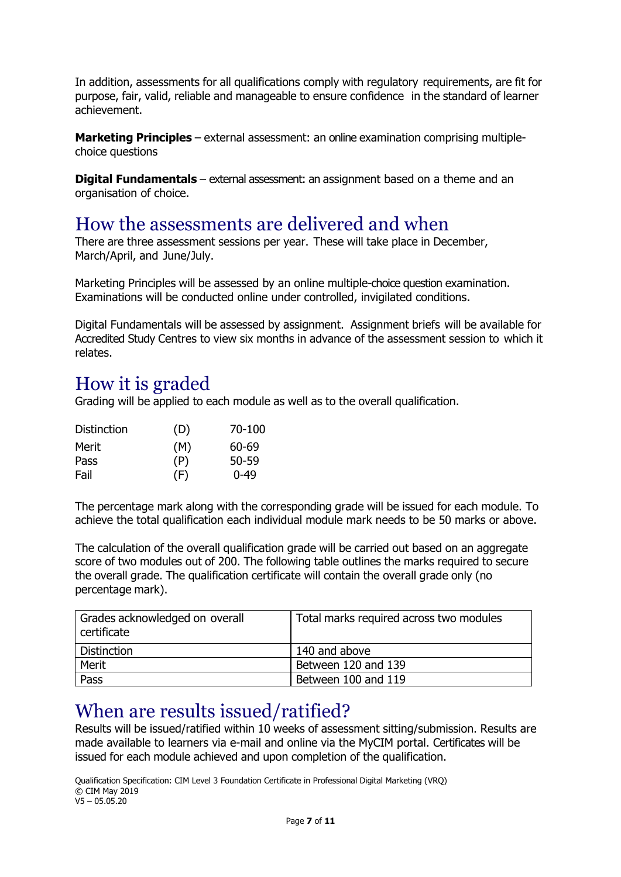In addition, assessments for all qualifications comply with regulatory requirements, are fit for purpose, fair, valid, reliable and manageable to ensure confidence in the standard of learner achievement.

**Marketing Principles** – external assessment: an online examination comprising multiplechoice questions

**Digital Fundamentals** – external assessment: an assignment based on a theme and an organisation of choice.

#### How the assessments are delivered and when

There are three assessment sessions per year. These will take place in December, March/April, and June/July.

Marketing Principles will be assessed by an online multiple-choice question examination. Examinations will be conducted online under controlled, invigilated conditions.

Digital Fundamentals will be assessed by assignment. Assignment briefs will be available for Accredited Study Centres to view six months in advance of the assessment session to which it relates.

#### How it is graded

Grading will be applied to each module as well as to the overall qualification.

| (D) | 70-100   |
|-----|----------|
| (M) | 60-69    |
| (P) | 50-59    |
| (F) | $0 - 49$ |
|     |          |

The percentage mark along with the corresponding grade will be issued for each module. To achieve the total qualification each individual module mark needs to be 50 marks or above.

The calculation of the overall qualification grade will be carried out based on an aggregate score of two modules out of 200. The following table outlines the marks required to secure the overall grade. The qualification certificate will contain the overall grade only (no percentage mark).

| Grades acknowledged on overall<br>certificate | Total marks required across two modules |
|-----------------------------------------------|-----------------------------------------|
| <b>Distinction</b>                            | 140 and above                           |
| Merit                                         | Between 120 and 139                     |
| Pass                                          | Between 100 and 119                     |

#### When are results issued/ratified?

Results will be issued/ratified within 10 weeks of assessment sitting/submission. Results are made available to learners via e-mail and online via the MyCIM portal. Certificates will be issued for each module achieved and upon completion of the qualification.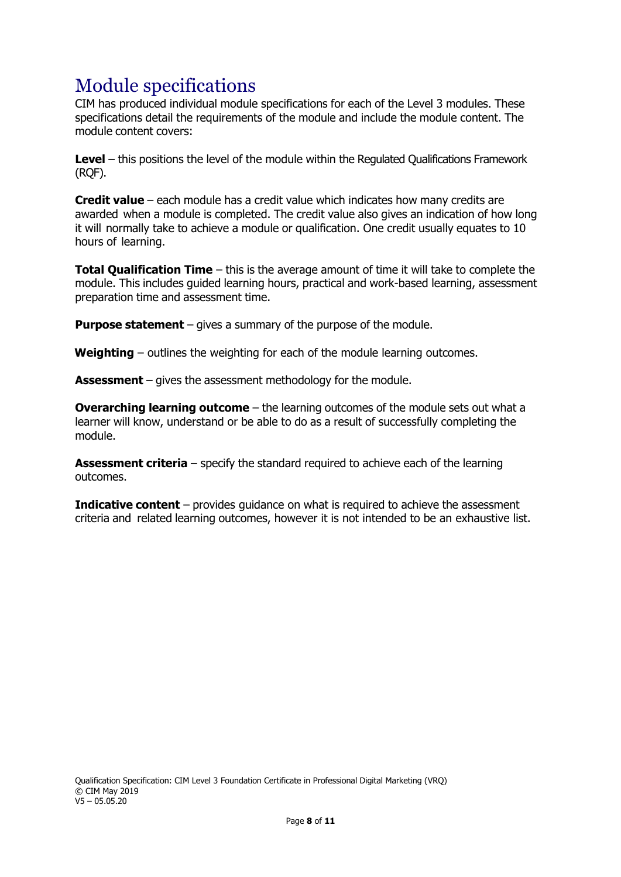## Module specifications

CIM has produced individual module specifications for each of the Level 3 modules. These specifications detail the requirements of the module and include the module content. The module content covers:

**Level** – this positions the level of the module within the Regulated Qualifications Framework (RQF).

**Credit value** – each module has a credit value which indicates how many credits are awarded when a module is completed. The credit value also gives an indication of how long it will normally take to achieve a module or qualification. One credit usually equates to 10 hours of learning.

**Total Qualification Time** – this is the average amount of time it will take to complete the module. This includes guided learning hours, practical and work-based learning, assessment preparation time and assessment time.

**Purpose statement** – gives a summary of the purpose of the module.

**Weighting** – outlines the weighting for each of the module learning outcomes.

**Assessment** – gives the assessment methodology for the module.

**Overarching learning outcome** – the learning outcomes of the module sets out what a learner will know, understand or be able to do as a result of successfully completing the module.

**Assessment criteria** – specify the standard required to achieve each of the learning outcomes.

**Indicative content** – provides guidance on what is required to achieve the assessment criteria and related learning outcomes, however it is not intended to be an exhaustive list.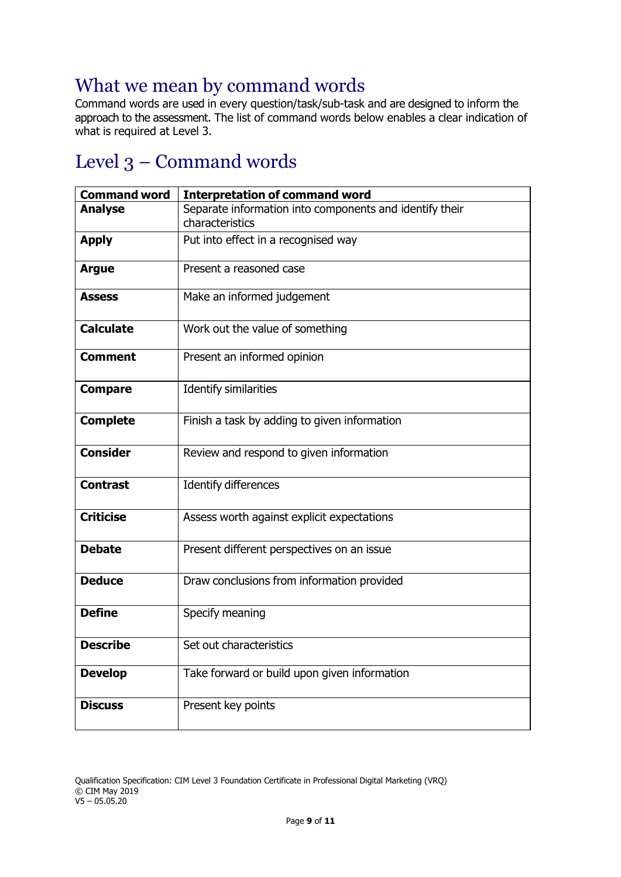#### What we mean by command words

Command words are used in every question/task/sub-task and are designed to inform the approach to the assessment. The list of command words below enables a clear indication of what is required at Level 3.

## Level 3 – Command words

| <b>Command word</b> | <b>Interpretation of command word</b>                                      |
|---------------------|----------------------------------------------------------------------------|
| <b>Analyse</b>      | Separate information into components and identify their<br>characteristics |
| <b>Apply</b>        | Put into effect in a recognised way                                        |
| <b>Argue</b>        | Present a reasoned case                                                    |
| <b>Assess</b>       | Make an informed judgement                                                 |
| <b>Calculate</b>    | Work out the value of something                                            |
| <b>Comment</b>      | Present an informed opinion                                                |
| <b>Compare</b>      | <b>Identify similarities</b>                                               |
| <b>Complete</b>     | Finish a task by adding to given information                               |
| <b>Consider</b>     | Review and respond to given information                                    |
| <b>Contrast</b>     | Identify differences                                                       |
| <b>Criticise</b>    | Assess worth against explicit expectations                                 |
| <b>Debate</b>       | Present different perspectives on an issue                                 |
| <b>Deduce</b>       | Draw conclusions from information provided                                 |
| <b>Define</b>       | Specify meaning                                                            |
| <b>Describe</b>     | Set out characteristics                                                    |
| <b>Develop</b>      | Take forward or build upon given information                               |
| <b>Discuss</b>      | Present key points                                                         |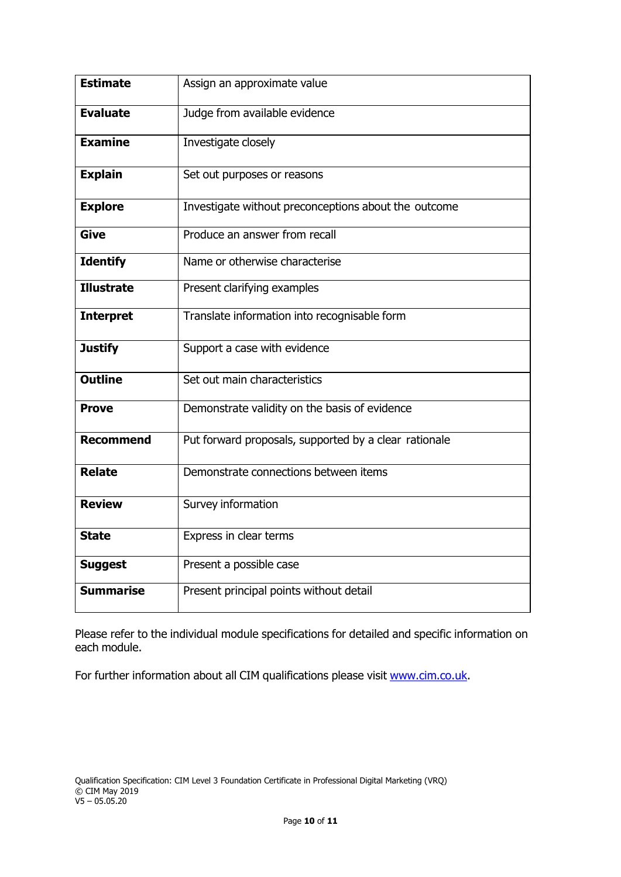| <b>Estimate</b>   | Assign an approximate value                           |
|-------------------|-------------------------------------------------------|
| <b>Evaluate</b>   | Judge from available evidence                         |
| <b>Examine</b>    | Investigate closely                                   |
| <b>Explain</b>    | Set out purposes or reasons                           |
| <b>Explore</b>    | Investigate without preconceptions about the outcome  |
| <b>Give</b>       | Produce an answer from recall                         |
| <b>Identify</b>   | Name or otherwise characterise                        |
| <b>Illustrate</b> | Present clarifying examples                           |
| <b>Interpret</b>  | Translate information into recognisable form          |
| <b>Justify</b>    | Support a case with evidence                          |
| <b>Outline</b>    | Set out main characteristics                          |
| <b>Prove</b>      | Demonstrate validity on the basis of evidence         |
| <b>Recommend</b>  | Put forward proposals, supported by a clear rationale |
| <b>Relate</b>     | Demonstrate connections between items                 |
| <b>Review</b>     | Survey information                                    |
| <b>State</b>      | Express in clear terms                                |
| <b>Suggest</b>    | Present a possible case                               |
| <b>Summarise</b>  | Present principal points without detail               |

Please refer to the individual module specifications for detailed and specific information on each module.

For further information about all CIM qualifications please visit [www.cim.co.uk.](http://www.cim.co.uk/)